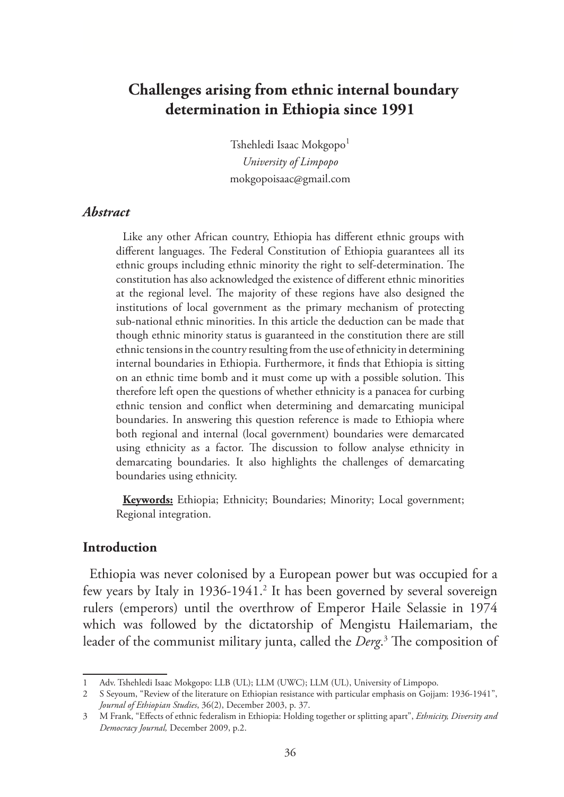# **Challenges arising from ethnic internal boundary determination in Ethiopia since 1991**

Tshehledi Isaac Mokgopo<sup>1</sup> *University of Limpopo*  mokgopoisaac@gmail.com

#### *Abstract*

Like any other African country, Ethiopia has different ethnic groups with different languages. The Federal Constitution of Ethiopia guarantees all its ethnic groups including ethnic minority the right to self-determination. The constitution has also acknowledged the existence of different ethnic minorities at the regional level. The majority of these regions have also designed the institutions of local government as the primary mechanism of protecting sub-national ethnic minorities. In this article the deduction can be made that though ethnic minority status is guaranteed in the constitution there are still ethnic tensions in the country resulting from the use of ethnicity in determining internal boundaries in Ethiopia. Furthermore, it finds that Ethiopia is sitting on an ethnic time bomb and it must come up with a possible solution. This therefore left open the questions of whether ethnicity is a panacea for curbing ethnic tension and conflict when determining and demarcating municipal boundaries. In answering this question reference is made to Ethiopia where both regional and internal (local government) boundaries were demarcated using ethnicity as a factor. The discussion to follow analyse ethnicity in demarcating boundaries. It also highlights the challenges of demarcating boundaries using ethnicity.

**Keywords:** Ethiopia; Ethnicity; Boundaries; Minority; Local government; Regional integration.

#### **Introduction**

Ethiopia was never colonised by a European power but was occupied for a few years by Italy in 1936-1941.<sup>2</sup> It has been governed by several sovereign rulers (emperors) until the overthrow of Emperor Haile Selassie in 1974 which was followed by the dictatorship of Mengistu Hailemariam, the leader of the communist military junta, called the *Derg*. 3 The composition of

<sup>1</sup> Adv. Tshehledi Isaac Mokgopo: LLB (UL); LLM (UWC); LLM (UL), University of Limpopo.

<sup>2</sup> S Seyoum, "Review of the literature on Ethiopian resistance with particular emphasis on Gojjam: 1936-1941", *Journal of Ethiopian Studies*, 36(2), December 2003, p. 37.

<sup>3</sup> M Frank, "Effects of ethnic federalism in Ethiopia: Holding together or splitting apart", *Ethnicity, Diversity and Democracy Journal,* December 2009, p.2.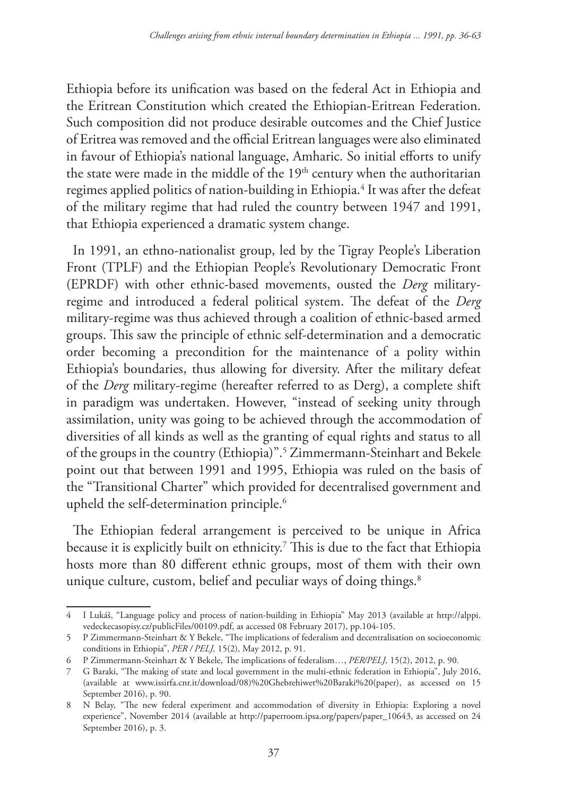Ethiopia before its unification was based on the federal Act in Ethiopia and the Eritrean Constitution which created the Ethiopian-Eritrean Federation. Such composition did not produce desirable outcomes and the Chief Justice of Eritrea was removed and the official Eritrean languages were also eliminated in favour of Ethiopia's national language, Amharic. So initial efforts to unify the state were made in the middle of the 19<sup>th</sup> century when the authoritarian regimes applied politics of nation-building in Ethiopia.4 It was after the defeat of the military regime that had ruled the country between 1947 and 1991, that Ethiopia experienced a dramatic system change.

In 1991, an ethno-nationalist group, led by the Tigray People's Liberation Front (TPLF) and the Ethiopian People's Revolutionary Democratic Front (EPRDF) with other ethnic-based movements, ousted the *Derg* militaryregime and introduced a federal political system. The defeat of the *Derg* military-regime was thus achieved through a coalition of ethnic-based armed groups. This saw the principle of ethnic self-determination and a democratic order becoming a precondition for the maintenance of a polity within Ethiopia's boundaries, thus allowing for diversity. After the military defeat of the *Derg* military-regime (hereafter referred to as Derg), a complete shift in paradigm was undertaken. However, "instead of seeking unity through assimilation, unity was going to be achieved through the accommodation of diversities of all kinds as well as the granting of equal rights and status to all of the groups in the country (Ethiopia)".5 Zimmermann-Steinhart and Bekele point out that between 1991 and 1995, Ethiopia was ruled on the basis of the "Transitional Charter" which provided for decentralised government and upheld the self-determination principle.<sup>6</sup>

The Ethiopian federal arrangement is perceived to be unique in Africa because it is explicitly built on ethnicity. $^7$  This is due to the fact that Ethiopia hosts more than 80 different ethnic groups, most of them with their own unique culture, custom, belief and peculiar ways of doing things.<sup>8</sup>

<sup>4</sup> I Lukáš, "Language policy and process of nation-building in Ethiopia" May 2013 (available at http://alppi. vedeckecasopisy.cz/publicFiles/00109.pdf, as accessed 08 February 2017), pp.104-105.

<sup>5</sup> P Zimmermann-Steinhart & Y Bekele, "The implications of federalism and decentralisation on socioeconomic conditions in Ethiopia", *PER / PELJ,* 15(2), May 2012, p. 91.

<sup>6</sup> P Zimmermann-Steinhart & Y Bekele, The implications of federalism…, *PER/PELJ,* 15(2), 2012, p. 90.

<sup>7</sup> G Baraki, "The making of state and local government in the multi-ethnic federation in Ethiopia", July 2016, (available at www.issirfa.cnr.it/download/08)%20Ghebrehiwet%20Baraki%20(paper), as accessed on 15 September 2016), p. 90.

<sup>8</sup> N Belay, "The new federal experiment and accommodation of diversity in Ethiopia: Exploring a novel experience", November 2014 (available at http://paperroom.ipsa.org/papers/paper\_10643, as accessed on 24 September 2016), p. 3.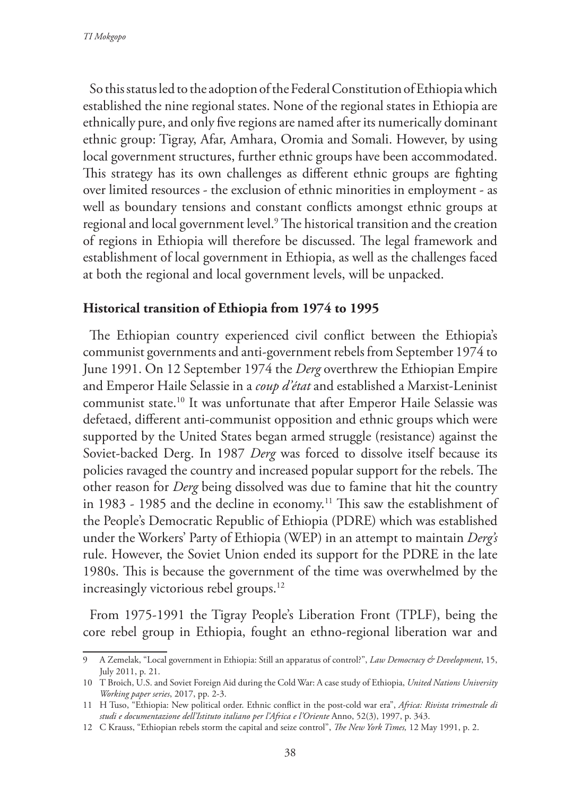So this status led to the adoption of the Federal Constitution of Ethiopia which established the nine regional states. None of the regional states in Ethiopia are ethnically pure, and only five regions are named after its numerically dominant ethnic group: Tigray, Afar, Amhara, Oromia and Somali. However, by using local government structures, further ethnic groups have been accommodated. This strategy has its own challenges as different ethnic groups are fighting over limited resources - the exclusion of ethnic minorities in employment - as well as boundary tensions and constant conflicts amongst ethnic groups at regional and local government level.9 The historical transition and the creation of regions in Ethiopia will therefore be discussed. The legal framework and establishment of local government in Ethiopia, as well as the challenges faced at both the regional and local government levels, will be unpacked.

### **Historical transition of Ethiopia from 1974 to 1995**

The Ethiopian country experienced civil conflict between the Ethiopia's communist governments and anti-government rebels from September 1974 to June 1991. On 12 September 1974 the *Derg* overthrew the Ethiopian Empire and Emperor Haile Selassie in a *coup d'état* and established a Marxist-Leninist communist state.10 It was unfortunate that after Emperor Haile Selassie was defetaed, different anti-communist opposition and ethnic groups which were supported by the United States began armed struggle (resistance) against the Soviet-backed Derg. In 1987 *Derg* was forced to dissolve itself because its policies ravaged the country and increased popular support for the rebels. The other reason for *Derg* being dissolved was due to famine that hit the country in 1983 - 1985 and the decline in economy.<sup>11</sup> This saw the establishment of the People's Democratic Republic of Ethiopia (PDRE) which was established under the Workers' Party of Ethiopia (WEP) in an attempt to maintain *Derg's* rule. However, the Soviet Union ended its support for the PDRE in the late 1980s. This is because the government of the time was overwhelmed by the increasingly victorious rebel groups.12

From 1975-1991 the Tigray People's Liberation Front (TPLF), being the core rebel group in Ethiopia, fought an ethno-regional liberation war and

<sup>9</sup> A Zemelak, "Local government in Ethiopia: Still an apparatus of control?", *Law Democracy & Development*, 15, July 2011, p. 21.

<sup>10</sup> T Broich, U.S. and Soviet Foreign Aid during the Cold War: A case study of Ethiopia, *United Nations University Working paper series*, 2017, pp. 2-3.

<sup>11</sup> H Tuso, "Ethiopia: New political order. Ethnic conflict in the post-cold war era", *Africa: Rivista trimestrale di studi e documentazione dell'Istituto italiano per l'Africa e l'Oriente* Anno, 52(3), 1997, p. 343.

<sup>12</sup> C Krauss, "Ethiopian rebels storm the capital and seize control", *The New York Times,* 12 May 1991, p. 2.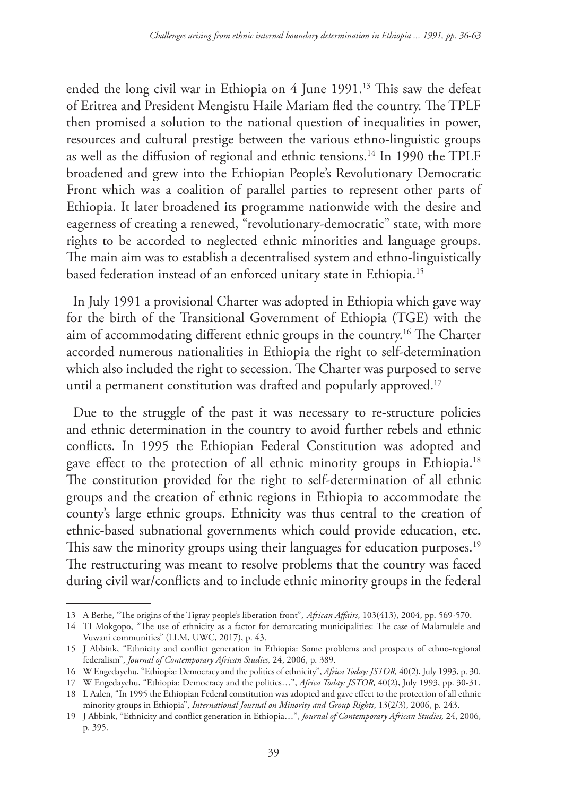ended the long civil war in Ethiopia on 4 June 1991.13 This saw the defeat of Eritrea and President Mengistu Haile Mariam fled the country. The TPLF then promised a solution to the national question of inequalities in power, resources and cultural prestige between the various ethno-linguistic groups as well as the diffusion of regional and ethnic tensions.14 In 1990 the TPLF broadened and grew into the Ethiopian People's Revolutionary Democratic Front which was a coalition of parallel parties to represent other parts of Ethiopia. It later broadened its programme nationwide with the desire and eagerness of creating a renewed, "revolutionary-democratic" state, with more rights to be accorded to neglected ethnic minorities and language groups. The main aim was to establish a decentralised system and ethno-linguistically based federation instead of an enforced unitary state in Ethiopia.15

In July 1991 a provisional Charter was adopted in Ethiopia which gave way for the birth of the Transitional Government of Ethiopia (TGE) with the aim of accommodating different ethnic groups in the country.16 The Charter accorded numerous nationalities in Ethiopia the right to self-determination which also included the right to secession. The Charter was purposed to serve until a permanent constitution was drafted and popularly approved.<sup>17</sup>

Due to the struggle of the past it was necessary to re-structure policies and ethnic determination in the country to avoid further rebels and ethnic conflicts. In 1995 the Ethiopian Federal Constitution was adopted and gave effect to the protection of all ethnic minority groups in Ethiopia.<sup>18</sup> The constitution provided for the right to self-determination of all ethnic groups and the creation of ethnic regions in Ethiopia to accommodate the county's large ethnic groups. Ethnicity was thus central to the creation of ethnic-based subnational governments which could provide education, etc. This saw the minority groups using their languages for education purposes.<sup>19</sup> The restructuring was meant to resolve problems that the country was faced during civil war/conflicts and to include ethnic minority groups in the federal

<sup>13</sup> A Berhe, "The origins of the Tigray people's liberation front", *African Affairs*, 103(413), 2004, pp. 569-570.

<sup>14</sup> TI Mokgopo, "The use of ethnicity as a factor for demarcating municipalities: The case of Malamulele and Vuwani communities" (LLM, UWC, 2017), p. 43.

<sup>15</sup> J Abbink, "Ethnicity and conflict generation in Ethiopia: Some problems and prospects of ethno-regional federalism", *Journal of Contemporary African Studies,* 24, 2006, p. 389.

<sup>16</sup> W Engedayehu, "Ethiopia: Democracy and the politics of ethnicity", *Africa Today: JSTOR,* 40(2), July 1993, p. 30.

<sup>17</sup> W Engedayehu, "Ethiopia: Democracy and the politics…", *Africa Today: JSTOR,* 40(2), July 1993, pp. 30-31.

<sup>18</sup> L Aalen, "In 1995 the Ethiopian Federal constitution was adopted and gave effect to the protection of all ethnic minority groups in Ethiopia", *International Journal on Minority and Group Rights*, 13(2/3), 2006, p. 243.

<sup>19</sup> J Abbink, "Ethnicity and conflict generation in Ethiopia…", *Journal of Contemporary African Studies,* 24, 2006, p. 395.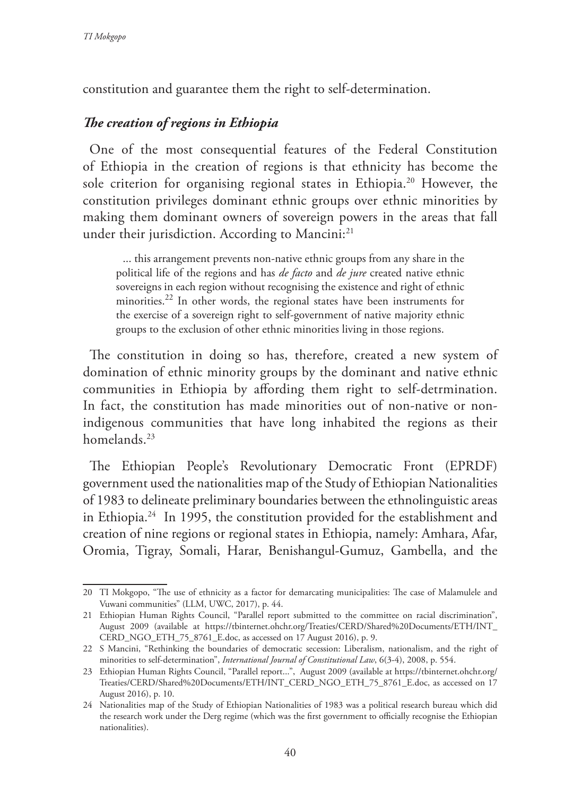constitution and guarantee them the right to self-determination.

## *The creation of regions in Ethiopia*

One of the most consequential features of the Federal Constitution of Ethiopia in the creation of regions is that ethnicity has become the sole criterion for organising regional states in Ethiopia.<sup>20</sup> However, the constitution privileges dominant ethnic groups over ethnic minorities by making them dominant owners of sovereign powers in the areas that fall under their jurisdiction. According to Mancini:<sup>21</sup>

... this arrangement prevents non-native ethnic groups from any share in the political life of the regions and has *de facto* and *de jure* created native ethnic sovereigns in each region without recognising the existence and right of ethnic minorities.<sup>22</sup> In other words, the regional states have been instruments for the exercise of a sovereign right to self-government of native majority ethnic groups to the exclusion of other ethnic minorities living in those regions.

The constitution in doing so has, therefore, created a new system of domination of ethnic minority groups by the dominant and native ethnic communities in Ethiopia by affording them right to self-detrmination. In fact, the constitution has made minorities out of non-native or nonindigenous communities that have long inhabited the regions as their homelands.<sup>23</sup>

The Ethiopian People's Revolutionary Democratic Front (EPRDF) government used the nationalities map of the Study of Ethiopian Nationalities of 1983 to delineate preliminary boundaries between the ethnolinguistic areas in Ethiopia.24 In 1995, the constitution provided for the establishment and creation of nine regions or regional states in Ethiopia, namely: Amhara, Afar, Oromia, Tigray, Somali, Harar, Benishangul-Gumuz, Gambella, and the

<sup>20</sup> TI Mokgopo, "The use of ethnicity as a factor for demarcating municipalities: The case of Malamulele and Vuwani communities" (LLM, UWC, 2017), p. 44.

<sup>21</sup> Ethiopian Human Rights Council, "Parallel report submitted to the committee on racial discrimination", August 2009 (available at https://tbinternet.ohchr.org/Treaties/CERD/Shared%20Documents/ETH/INT\_ CERD\_NGO\_ETH\_75\_8761\_E.doc, as accessed on 17 August 2016), p. 9.

<sup>22</sup> S Mancini, "Rethinking the boundaries of democratic secession: Liberalism, nationalism, and the right of minorities to self-determination", *International Journal of Constitutional Law*, 6(3-4), 2008, p. 554.

<sup>23</sup> Ethiopian Human Rights Council, "Parallel report...", August 2009 (available at https://tbinternet.ohchr.org/ Treaties/CERD/Shared%20Documents/ETH/INT\_CERD\_NGO\_ETH\_75\_8761\_E.doc, as accessed on 17 August 2016), p. 10.

<sup>24</sup> Nationalities map of the Study of Ethiopian Nationalities of 1983 was a political research bureau which did the research work under the Derg regime (which was the first government to officially recognise the Ethiopian nationalities).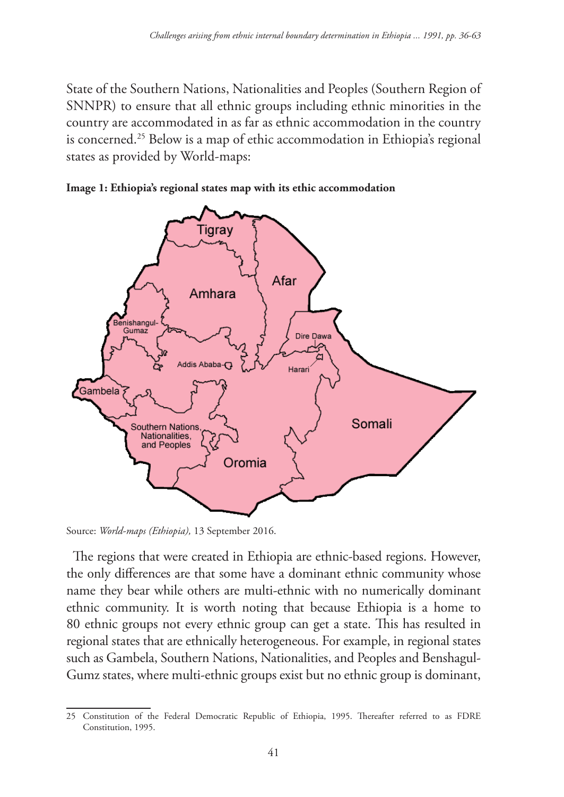State of the Southern Nations, Nationalities and Peoples (Southern Region of SNNPR) to ensure that all ethnic groups including ethnic minorities in the country are accommodated in as far as ethnic accommodation in the country is concerned.<sup>25</sup> Below is a map of ethic accommodation in Ethiopia's regional states as provided by World-maps:





Source: *World-maps (Ethiopia),* 13 September 2016.

The regions that were created in Ethiopia are ethnic-based regions. However, the only differences are that some have a dominant ethnic community whose name they bear while others are multi-ethnic with no numerically dominant ethnic community. It is worth noting that because Ethiopia is a home to 80 ethnic groups not every ethnic group can get a state. This has resulted in regional states that are ethnically heterogeneous. For example, in regional states such as Gambela, Southern Nations, Nationalities, and Peoples and Benshagul-Gumz states, where multi-ethnic groups exist but no ethnic group is dominant,

<sup>25</sup> Constitution of the Federal Democratic Republic of Ethiopia, 1995. Thereafter referred to as FDRE Constitution, 1995.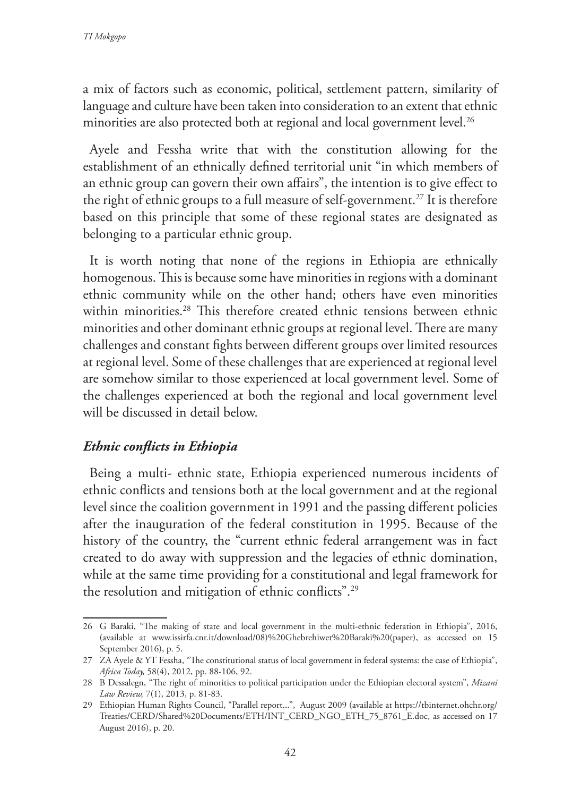a mix of factors such as economic, political, settlement pattern, similarity of language and culture have been taken into consideration to an extent that ethnic minorities are also protected both at regional and local government level.<sup>26</sup>

Ayele and Fessha write that with the constitution allowing for the establishment of an ethnically defined territorial unit "in which members of an ethnic group can govern their own affairs", the intention is to give effect to the right of ethnic groups to a full measure of self-government.<sup>27</sup> It is therefore based on this principle that some of these regional states are designated as belonging to a particular ethnic group.

It is worth noting that none of the regions in Ethiopia are ethnically homogenous. This is because some have minorities in regions with a dominant ethnic community while on the other hand; others have even minorities within minorities.<sup>28</sup> This therefore created ethnic tensions between ethnic minorities and other dominant ethnic groups at regional level. There are many challenges and constant fights between different groups over limited resources at regional level. Some of these challenges that are experienced at regional level are somehow similar to those experienced at local government level. Some of the challenges experienced at both the regional and local government level will be discussed in detail below.

## *Ethnic conflicts in Ethiopia*

Being a multi- ethnic state, Ethiopia experienced numerous incidents of ethnic conflicts and tensions both at the local government and at the regional level since the coalition government in 1991 and the passing different policies after the inauguration of the federal constitution in 1995. Because of the history of the country, the "current ethnic federal arrangement was in fact created to do away with suppression and the legacies of ethnic domination, while at the same time providing for a constitutional and legal framework for the resolution and mitigation of ethnic conflicts".29

<sup>26</sup> G Baraki, "The making of state and local government in the multi-ethnic federation in Ethiopia", 2016, (available at www.issirfa.cnr.it/download/08)%20Ghebrehiwet%20Baraki%20(paper), as accessed on 15 September 2016), p. 5.

<sup>27</sup> ZA Ayele & YT Fessha, "The constitutional status of local government in federal systems: the case of Ethiopia", *Africa Today,* 58(4), 2012, pp. 88-106, 92.

<sup>28</sup> B Dessalegn, "The right of minorities to political participation under the Ethiopian electoral system", *Mizani Law Review,* 7(1), 2013, p. 81-83.

<sup>29</sup> Ethiopian Human Rights Council, "Parallel report...", August 2009 (available at https://tbinternet.ohchr.org/ Treaties/CERD/Shared%20Documents/ETH/INT\_CERD\_NGO\_ETH\_75\_8761\_E.doc, as accessed on 17 August 2016), p. 20.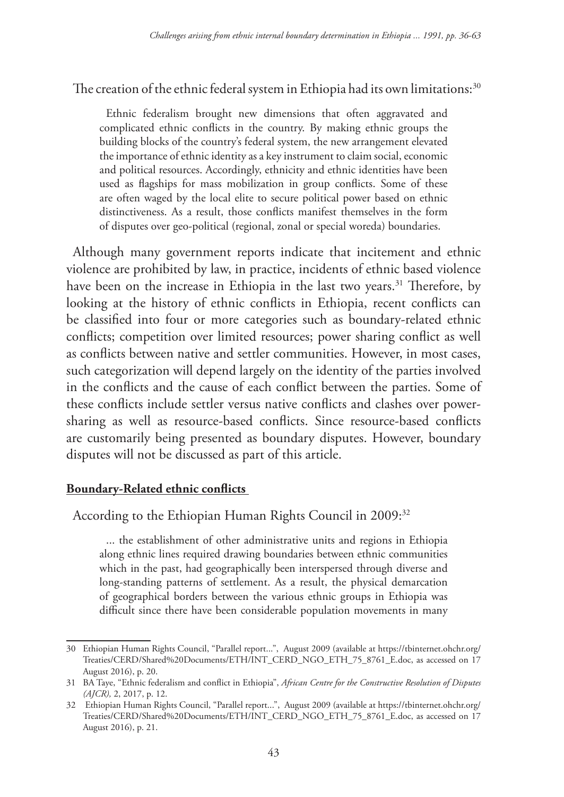### The creation of the ethnic federal system in Ethiopia had its own limitations:<sup>30</sup>

Ethnic federalism brought new dimensions that often aggravated and complicated ethnic conflicts in the country. By making ethnic groups the building blocks of the country's federal system, the new arrangement elevated the importance of ethnic identity as a key instrument to claim social, economic and political resources. Accordingly, ethnicity and ethnic identities have been used as flagships for mass mobilization in group conflicts. Some of these are often waged by the local elite to secure political power based on ethnic distinctiveness. As a result, those conflicts manifest themselves in the form of disputes over geo-political (regional, zonal or special woreda) boundaries.

Although many government reports indicate that incitement and ethnic violence are prohibited by law, in practice, incidents of ethnic based violence have been on the increase in Ethiopia in the last two years.<sup>31</sup> Therefore, by looking at the history of ethnic conflicts in Ethiopia, recent conflicts can be classified into four or more categories such as boundary-related ethnic conflicts; competition over limited resources; power sharing conflict as well as conflicts between native and settler communities. However, in most cases, such categorization will depend largely on the identity of the parties involved in the conflicts and the cause of each conflict between the parties. Some of these conflicts include settler versus native conflicts and clashes over powersharing as well as resource-based conflicts. Since resource-based conflicts are customarily being presented as boundary disputes. However, boundary disputes will not be discussed as part of this article.

#### **Boundary-Related ethnic conflicts**

### According to the Ethiopian Human Rights Council in 2009:<sup>32</sup>

... the establishment of other administrative units and regions in Ethiopia along ethnic lines required drawing boundaries between ethnic communities which in the past, had geographically been interspersed through diverse and long-standing patterns of settlement. As a result, the physical demarcation of geographical borders between the various ethnic groups in Ethiopia was difficult since there have been considerable population movements in many

<sup>30</sup> Ethiopian Human Rights Council, "Parallel report...", August 2009 (available at https://tbinternet.ohchr.org/ Treaties/CERD/Shared%20Documents/ETH/INT\_CERD\_NGO\_ETH\_75\_8761\_E.doc, as accessed on 17 August 2016), p. 20.

<sup>31</sup> BA Taye, "Ethnic federalism and conflict in Ethiopia", *African Centre for the Constructive Resolution of Disputes (AJCR),* 2, 2017, p. 12.

<sup>32</sup> Ethiopian Human Rights Council, "Parallel report...", August 2009 (available at https://tbinternet.ohchr.org/ Treaties/CERD/Shared%20Documents/ETH/INT\_CERD\_NGO\_ETH\_75\_8761\_E.doc, as accessed on 17 August 2016), p. 21.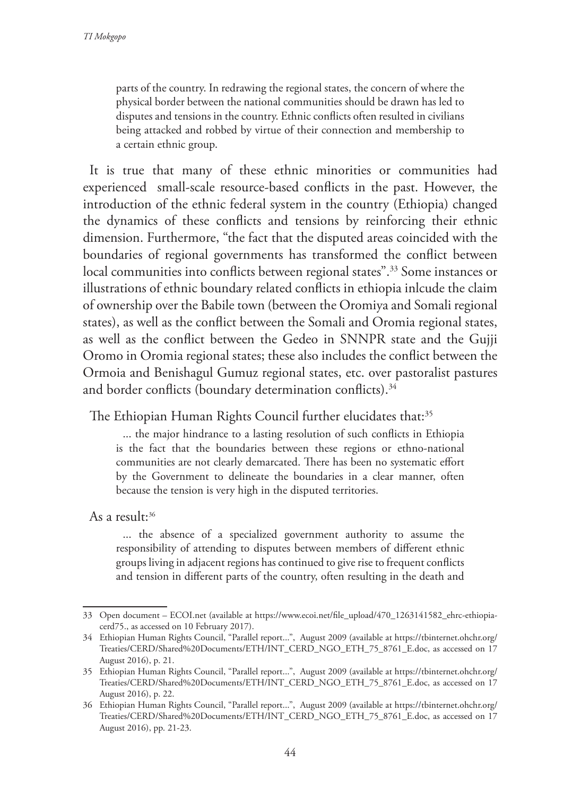parts of the country. In redrawing the regional states, the concern of where the physical border between the national communities should be drawn has led to disputes and tensions in the country. Ethnic conflicts often resulted in civilians being attacked and robbed by virtue of their connection and membership to a certain ethnic group.

It is true that many of these ethnic minorities or communities had experienced small-scale resource-based conflicts in the past. However, the introduction of the ethnic federal system in the country (Ethiopia) changed the dynamics of these conflicts and tensions by reinforcing their ethnic dimension. Furthermore, "the fact that the disputed areas coincided with the boundaries of regional governments has transformed the conflict between local communities into conflicts between regional states".<sup>33</sup> Some instances or illustrations of ethnic boundary related conflicts in ethiopia inlcude the claim of ownership over the Babile town (between the Oromiya and Somali regional states), as well as the conflict between the Somali and Oromia regional states, as well as the conflict between the Gedeo in SNNPR state and the Gujji Oromo in Oromia regional states; these also includes the conflict between the Ormoia and Benishagul Gumuz regional states, etc. over pastoralist pastures and border conflicts (boundary determination conflicts).<sup>34</sup>

The Ethiopian Human Rights Council further elucidates that:<sup>35</sup>

... the major hindrance to a lasting resolution of such conflicts in Ethiopia is the fact that the boundaries between these regions or ethno-national communities are not clearly demarcated. There has been no systematic effort by the Government to delineate the boundaries in a clear manner, often because the tension is very high in the disputed territories.

As a result:<sup>36</sup>

... the absence of a specialized government authority to assume the responsibility of attending to disputes between members of different ethnic groups living in adjacent regions has continued to give rise to frequent conflicts and tension in different parts of the country, often resulting in the death and

<sup>33</sup> Open document – ECOI.net (available at https://www.ecoi.net/file\_upload/470\_1263141582\_ehrc-ethiopiacerd75., as accessed on 10 February 2017).

<sup>34</sup> Ethiopian Human Rights Council, "Parallel report...", August 2009 (available at https://tbinternet.ohchr.org/ Treaties/CERD/Shared%20Documents/ETH/INT\_CERD\_NGO\_ETH\_75\_8761\_E.doc, as accessed on 17 August 2016), p. 21.

<sup>35</sup> Ethiopian Human Rights Council, "Parallel report...", August 2009 (available at https://tbinternet.ohchr.org/ Treaties/CERD/Shared%20Documents/ETH/INT\_CERD\_NGO\_ETH\_75\_8761\_E.doc, as accessed on 17 August 2016), p. 22.

<sup>36</sup> Ethiopian Human Rights Council, "Parallel report...", August 2009 (available at https://tbinternet.ohchr.org/ Treaties/CERD/Shared%20Documents/ETH/INT\_CERD\_NGO\_ETH\_75\_8761\_E.doc, as accessed on 17 August 2016), pp. 21-23.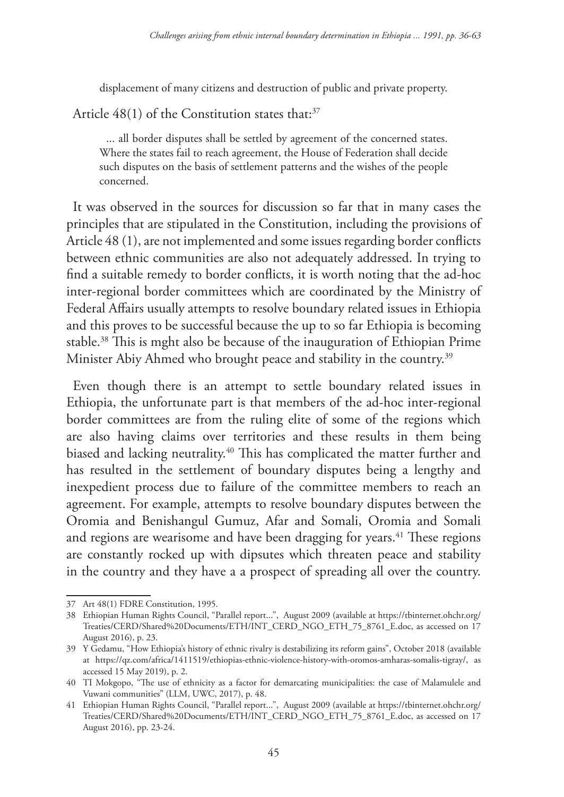displacement of many citizens and destruction of public and private property.

Article  $48(1)$  of the Constitution states that:<sup>37</sup>

... all border disputes shall be settled by agreement of the concerned states. Where the states fail to reach agreement, the House of Federation shall decide such disputes on the basis of settlement patterns and the wishes of the people concerned.

It was observed in the sources for discussion so far that in many cases the principles that are stipulated in the Constitution, including the provisions of Article 48 (1), are not implemented and some issues regarding border conflicts between ethnic communities are also not adequately addressed. In trying to find a suitable remedy to border conflicts, it is worth noting that the ad-hoc inter-regional border committees which are coordinated by the Ministry of Federal Affairs usually attempts to resolve boundary related issues in Ethiopia and this proves to be successful because the up to so far Ethiopia is becoming stable.38 This is mght also be because of the inauguration of Ethiopian Prime Minister Abiy Ahmed who brought peace and stability in the country.<sup>39</sup>

Even though there is an attempt to settle boundary related issues in Ethiopia, the unfortunate part is that members of the ad-hoc inter-regional border committees are from the ruling elite of some of the regions which are also having claims over territories and these results in them being biased and lacking neutrality.40 This has complicated the matter further and has resulted in the settlement of boundary disputes being a lengthy and inexpedient process due to failure of the committee members to reach an agreement. For example, attempts to resolve boundary disputes between the Oromia and Benishangul Gumuz, Afar and Somali, Oromia and Somali and regions are wearisome and have been dragging for years.<sup>41</sup> These regions are constantly rocked up with dipsutes which threaten peace and stability in the country and they have a a prospect of spreading all over the country.

<sup>37</sup> Art 48(1) FDRE Constitution, 1995.

<sup>38</sup> Ethiopian Human Rights Council, "Parallel report...", August 2009 (available at https://tbinternet.ohchr.org/ Treaties/CERD/Shared%20Documents/ETH/INT\_CERD\_NGO\_ETH\_75\_8761\_E.doc, as accessed on 17 August 2016), p. 23.

<sup>39</sup> Y Gedamu, "How Ethiopia's history of ethnic rivalry is destabilizing its reform gains", October 2018 (available at https://qz.com/africa/1411519/ethiopias-ethnic-violence-history-with-oromos-amharas-somalis-tigray/, as accessed 15 May 2019), p. 2.

<sup>40</sup> TI Mokgopo, "The use of ethnicity as a factor for demarcating municipalities: the case of Malamulele and Vuwani communities" (LLM, UWC, 2017), p. 48.

<sup>41</sup> Ethiopian Human Rights Council, "Parallel report...", August 2009 (available at https://tbinternet.ohchr.org/ Treaties/CERD/Shared%20Documents/ETH/INT\_CERD\_NGO\_ETH\_75\_8761\_E.doc, as accessed on 17 August 2016), pp. 23-24.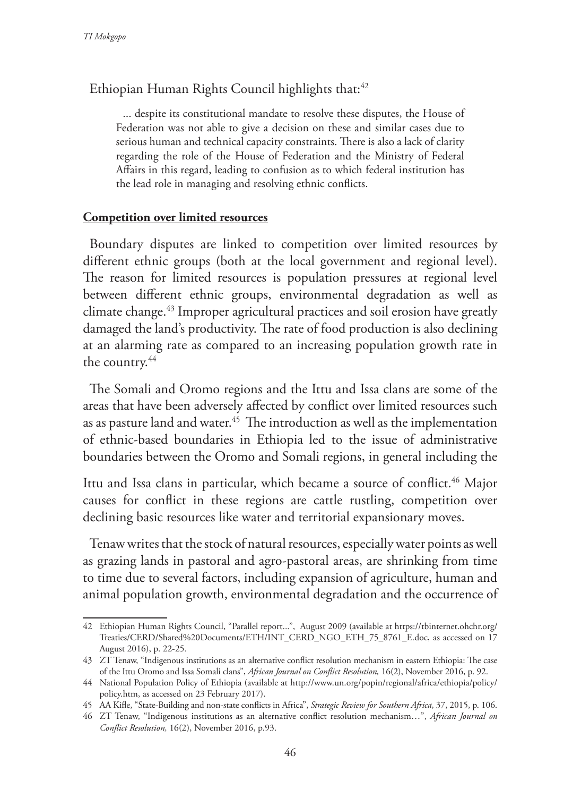## Ethiopian Human Rights Council highlights that:<sup>42</sup>

... despite its constitutional mandate to resolve these disputes, the House of Federation was not able to give a decision on these and similar cases due to serious human and technical capacity constraints. There is also a lack of clarity regarding the role of the House of Federation and the Ministry of Federal Affairs in this regard, leading to confusion as to which federal institution has the lead role in managing and resolving ethnic conflicts.

#### **Competition over limited resources**

Boundary disputes are linked to competition over limited resources by different ethnic groups (both at the local government and regional level). The reason for limited resources is population pressures at regional level between different ethnic groups, environmental degradation as well as climate change.<sup>43</sup> Improper agricultural practices and soil erosion have greatly damaged the land's productivity. The rate of food production is also declining at an alarming rate as compared to an increasing population growth rate in the country.<sup>44</sup>

The Somali and Oromo regions and the Ittu and Issa clans are some of the areas that have been adversely affected by conflict over limited resources such as as pasture land and water.<sup>45</sup> The introduction as well as the implementation of ethnic-based boundaries in Ethiopia led to the issue of administrative boundaries between the Oromo and Somali regions, in general including the

Ittu and Issa clans in particular, which became a source of conflict.<sup>46</sup> Major causes for conflict in these regions are cattle rustling, competition over declining basic resources like water and territorial expansionary moves.

Tenaw writes that the stock of natural resources, especially water points as well as grazing lands in pastoral and agro-pastoral areas, are shrinking from time to time due to several factors, including expansion of agriculture, human and animal population growth, environmental degradation and the occurrence of

<sup>42</sup> Ethiopian Human Rights Council, "Parallel report...", August 2009 (available at https://tbinternet.ohchr.org/ Treaties/CERD/Shared%20Documents/ETH/INT\_CERD\_NGO\_ETH\_75\_8761\_E.doc, as accessed on 17 August 2016), p. 22-25.

<sup>43</sup> ZT Tenaw, "Indigenous institutions as an alternative conflict resolution mechanism in eastern Ethiopia: The case of the Ittu Oromo and Issa Somali clans", *African Journal on Conflict Resolution,* 16(2), November 2016, p. 92.

<sup>44</sup> National Population Policy of Ethiopia (available at http://www.un.org/popin/regional/africa/ethiopia/policy/ policy.htm, as accessed on 23 February 2017).

<sup>45</sup> AA Kifle, "State-Building and non-state conflicts in Africa", *Strategic Review for Southern Africa*, 37, 2015, p. 106.

<sup>46</sup> ZT Tenaw, "Indigenous institutions as an alternative conflict resolution mechanism…", *African Journal on Conflict Resolution,* 16(2), November 2016, p.93.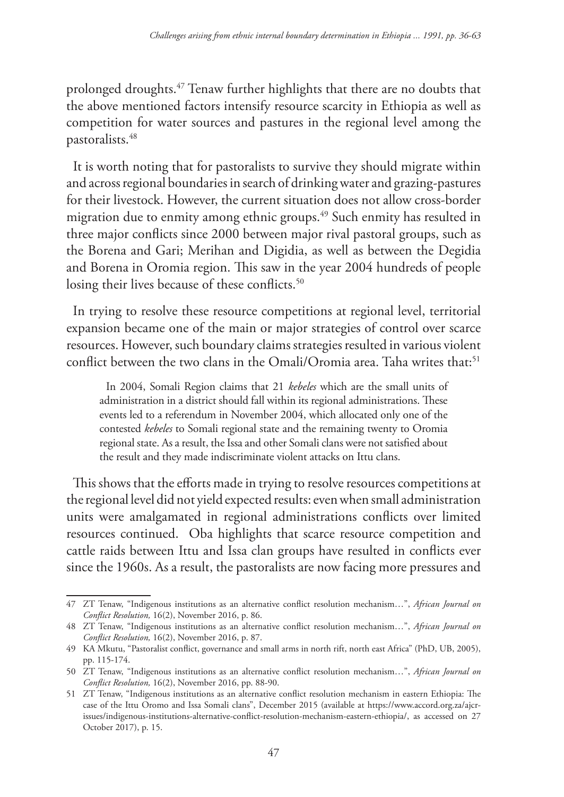prolonged droughts.47 Tenaw further highlights that there are no doubts that the above mentioned factors intensify resource scarcity in Ethiopia as well as competition for water sources and pastures in the regional level among the pastoralists.48

It is worth noting that for pastoralists to survive they should migrate within and across regional boundaries in search of drinking water and grazing-pastures for their livestock. However, the current situation does not allow cross-border migration due to enmity among ethnic groups.49 Such enmity has resulted in three major conflicts since 2000 between major rival pastoral groups, such as the Borena and Gari; Merihan and Digidia, as well as between the Degidia and Borena in Oromia region. This saw in the year 2004 hundreds of people losing their lives because of these conflicts.<sup>50</sup>

In trying to resolve these resource competitions at regional level, territorial expansion became one of the main or major strategies of control over scarce resources. However, such boundary claims strategies resulted in various violent conflict between the two clans in the Omali/Oromia area. Taha writes that:<sup>51</sup>

In 2004, Somali Region claims that 21 *kebeles* which are the small units of administration in a district should fall within its regional administrations. These events led to a referendum in November 2004, which allocated only one of the contested *kebeles* to Somali regional state and the remaining twenty to Oromia regional state. As a result, the Issa and other Somali clans were not satisfied about the result and they made indiscriminate violent attacks on Ittu clans.

This shows that the efforts made in trying to resolve resources competitions at the regional level did not yield expected results: even when small administration units were amalgamated in regional administrations conflicts over limited resources continued. Oba highlights that scarce resource competition and cattle raids between Ittu and Issa clan groups have resulted in conflicts ever since the 1960s. As a result, the pastoralists are now facing more pressures and

<sup>47</sup> ZT Tenaw, "Indigenous institutions as an alternative conflict resolution mechanism…", *African Journal on Conflict Resolution,* 16(2), November 2016, p. 86.

<sup>48</sup> ZT Tenaw, "Indigenous institutions as an alternative conflict resolution mechanism…", *African Journal on Conflict Resolution,* 16(2), November 2016, p. 87.

<sup>49</sup> KA Mkutu, "Pastoralist conflict, governance and small arms in north rift, north east Africa" (PhD, UB, 2005), pp. 115-174.

<sup>50</sup> ZT Tenaw, "Indigenous institutions as an alternative conflict resolution mechanism…", *African Journal on Conflict Resolution,* 16(2), November 2016, pp. 88-90.

<sup>51</sup> ZT Tenaw, "Indigenous institutions as an alternative conflict resolution mechanism in eastern Ethiopia: The case of the Ittu Oromo and Issa Somali clans", December 2015 (available at https://www.accord.org.za/ajcrissues/indigenous-institutions-alternative-conflict-resolution-mechanism-eastern-ethiopia/, as accessed on 27 October 2017), p. 15.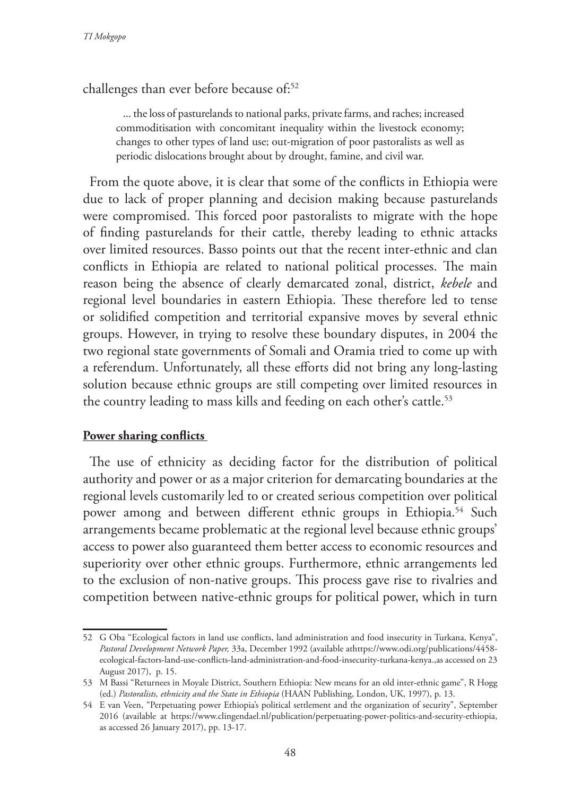challenges than ever before because of:<sup>52</sup>

... the loss of pasturelands to national parks, private farms, and raches; increased commoditisation with concomitant inequality within the livestock economy; changes to other types of land use; out-migration of poor pastoralists as well as periodic dislocations brought about by drought, famine, and civil war.

From the quote above, it is clear that some of the conflicts in Ethiopia were due to lack of proper planning and decision making because pasturelands were compromised. This forced poor pastoralists to migrate with the hope of finding pasturelands for their cattle, thereby leading to ethnic attacks over limited resources. Basso points out that the recent inter-ethnic and clan conflicts in Ethiopia are related to national political processes. The main reason being the absence of clearly demarcated zonal, district, *kebele* and regional level boundaries in eastern Ethiopia. These therefore led to tense or solidified competition and territorial expansive moves by several ethnic groups. However, in trying to resolve these boundary disputes, in 2004 the two regional state governments of Somali and Oramia tried to come up with a referendum. Unfortunately, all these efforts did not bring any long-lasting solution because ethnic groups are still competing over limited resources in the country leading to mass kills and feeding on each other's cattle.<sup>53</sup>

#### **Power sharing conflicts**

The use of ethnicity as deciding factor for the distribution of political authority and power or as a major criterion for demarcating boundaries at the regional levels customarily led to or created serious competition over political power among and between different ethnic groups in Ethiopia.<sup>54</sup> Such arrangements became problematic at the regional level because ethnic groups' access to power also guaranteed them better access to economic resources and superiority over other ethnic groups. Furthermore, ethnic arrangements led to the exclusion of non-native groups. This process gave rise to rivalries and competition between native-ethnic groups for political power, which in turn

<sup>52</sup> G Oba "Ecological factors in land use conflicts, land administration and food insecurity in Turkana, Kenya", *Pastoral Development Network Paper,* 33a, December 1992 (available athttps://www.odi.org/publications/4458 ecological-factors-land-use-conflicts-land-administration-and-food-insecurity-turkana-kenya.,as accessed on 23 August 2017), p. 15.

<sup>53</sup> M Bassi "Returnees in Moyale District, Southern Ethiopia: New means for an old inter-ethnic game", R Hogg (ed.) *Pastoralists, ethnicity and the State in Ethiopia* (HAAN Publishing, London, UK, 1997), p. 13.

<sup>54</sup> E van Veen, "Perpetuating power Ethiopia's political settlement and the organization of security", September 2016 (available at https://www.clingendael.nl/publication/perpetuating-power-politics-and-security-ethiopia, as accessed 26 January 2017), pp. 13-17.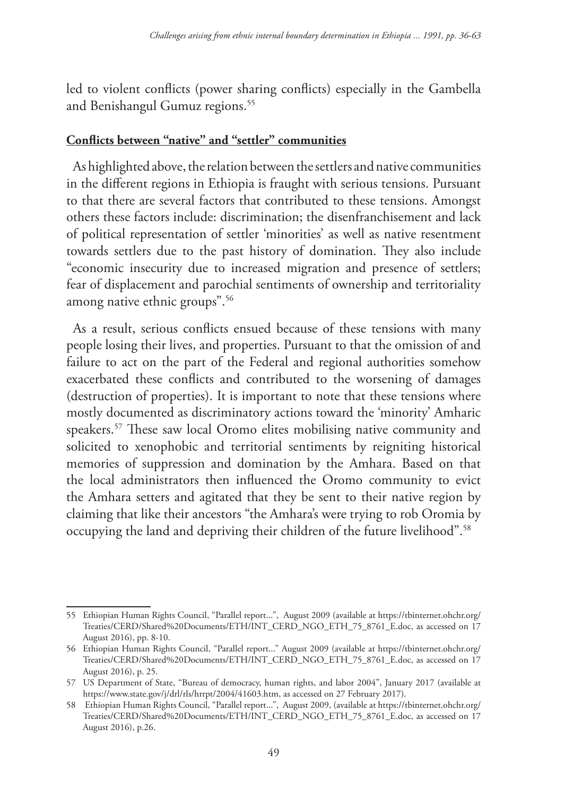led to violent conflicts (power sharing conflicts) especially in the Gambella and Benishangul Gumuz regions.<sup>55</sup>

### **Conflicts between "native" and "settler" communities**

As highlighted above, the relation between the settlers and native communities in the different regions in Ethiopia is fraught with serious tensions. Pursuant to that there are several factors that contributed to these tensions. Amongst others these factors include: discrimination; the disenfranchisement and lack of political representation of settler 'minorities' as well as native resentment towards settlers due to the past history of domination. They also include "economic insecurity due to increased migration and presence of settlers; fear of displacement and parochial sentiments of ownership and territoriality among native ethnic groups".56

As a result, serious conflicts ensued because of these tensions with many people losing their lives, and properties. Pursuant to that the omission of and failure to act on the part of the Federal and regional authorities somehow exacerbated these conflicts and contributed to the worsening of damages (destruction of properties). It is important to note that these tensions where mostly documented as discriminatory actions toward the 'minority' Amharic speakers.57 These saw local Oromo elites mobilising native community and solicited to xenophobic and territorial sentiments by reigniting historical memories of suppression and domination by the Amhara. Based on that the local administrators then influenced the Oromo community to evict the Amhara setters and agitated that they be sent to their native region by claiming that like their ancestors "the Amhara's were trying to rob Oromia by occupying the land and depriving their children of the future livelihood".<sup>58</sup>

<sup>55</sup> Ethiopian Human Rights Council, "Parallel report...", August 2009 (available at https://tbinternet.ohchr.org/ Treaties/CERD/Shared%20Documents/ETH/INT\_CERD\_NGO\_ETH\_75\_8761\_E.doc, as accessed on 17 August 2016), pp. 8-10.

<sup>56</sup> Ethiopian Human Rights Council, "Parallel report..." August 2009 (available at https://tbinternet.ohchr.org/ Treaties/CERD/Shared%20Documents/ETH/INT\_CERD\_NGO\_ETH\_75\_8761\_E.doc, as accessed on 17 August 2016), p. 25.

<sup>57</sup> US Department of State, "Bureau of democracy, human rights, and labor 2004", January 2017 (available at https://www.state.gov/j/drl/rls/hrrpt/2004/41603.htm, as accessed on 27 February 2017).

<sup>58</sup> Ethiopian Human Rights Council, "Parallel report...", August 2009, (available at https://tbinternet.ohchr.org/ Treaties/CERD/Shared%20Documents/ETH/INT\_CERD\_NGO\_ETH\_75\_8761\_E.doc, as accessed on 17 August 2016), p.26.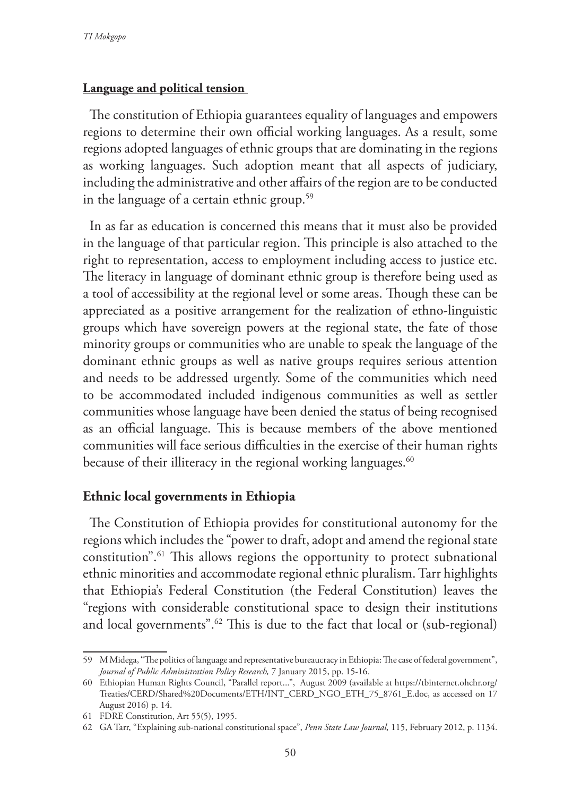#### **Language and political tension**

The constitution of Ethiopia guarantees equality of languages and empowers regions to determine their own official working languages. As a result, some regions adopted languages of ethnic groups that are dominating in the regions as working languages. Such adoption meant that all aspects of judiciary, including the administrative and other affairs of the region are to be conducted in the language of a certain ethnic group.<sup>59</sup>

In as far as education is concerned this means that it must also be provided in the language of that particular region. This principle is also attached to the right to representation, access to employment including access to justice etc. The literacy in language of dominant ethnic group is therefore being used as a tool of accessibility at the regional level or some areas. Though these can be appreciated as a positive arrangement for the realization of ethno-linguistic groups which have sovereign powers at the regional state, the fate of those minority groups or communities who are unable to speak the language of the dominant ethnic groups as well as native groups requires serious attention and needs to be addressed urgently. Some of the communities which need to be accommodated included indigenous communities as well as settler communities whose language have been denied the status of being recognised as an official language. This is because members of the above mentioned communities will face serious difficulties in the exercise of their human rights because of their illiteracy in the regional working languages.<sup>60</sup>

#### **Ethnic local governments in Ethiopia**

The Constitution of Ethiopia provides for constitutional autonomy for the regions which includes the "power to draft, adopt and amend the regional state constitution".61 This allows regions the opportunity to protect subnational ethnic minorities and accommodate regional ethnic pluralism. Tarr highlights that Ethiopia's Federal Constitution (the Federal Constitution) leaves the "regions with considerable constitutional space to design their institutions and local governments".<sup>62</sup> This is due to the fact that local or (sub-regional)

<sup>59</sup> M Midega, "The politics of language and representative bureaucracy in Ethiopia: The case of federal government", *Journal of Public Administration Policy Research,* 7 January 2015, pp. 15-16.

<sup>60</sup> Ethiopian Human Rights Council, "Parallel report...", August 2009 (available at https://tbinternet.ohchr.org/ Treaties/CERD/Shared%20Documents/ETH/INT\_CERD\_NGO\_ETH\_75\_8761\_E.doc, as accessed on 17 August 2016) p. 14.

<sup>61</sup> FDRE Constitution, Art 55(5), 1995.

<sup>62</sup> GA Tarr, "Explaining sub-national constitutional space", *Penn State Law Journal,* 115, February 2012, p. 1134.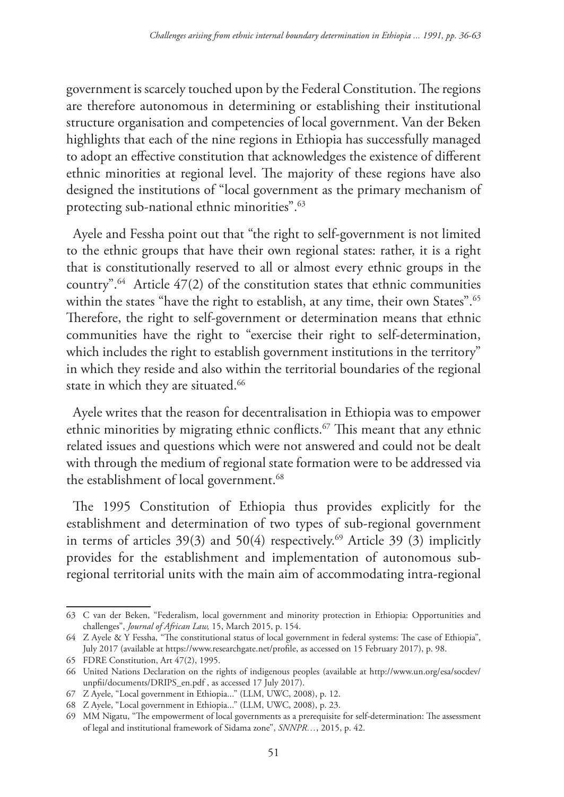government is scarcely touched upon by the Federal Constitution. The regions are therefore autonomous in determining or establishing their institutional structure organisation and competencies of local government. Van der Beken highlights that each of the nine regions in Ethiopia has successfully managed to adopt an effective constitution that acknowledges the existence of different ethnic minorities at regional level. The majority of these regions have also designed the institutions of "local government as the primary mechanism of protecting sub-national ethnic minorities".63

Ayele and Fessha point out that "the right to self-government is not limited to the ethnic groups that have their own regional states: rather, it is a right that is constitutionally reserved to all or almost every ethnic groups in the country".64 Article 47(2) of the constitution states that ethnic communities within the states "have the right to establish, at any time, their own States".<sup>65</sup> Therefore, the right to self-government or determination means that ethnic communities have the right to "exercise their right to self-determination, which includes the right to establish government institutions in the territory" in which they reside and also within the territorial boundaries of the regional state in which they are situated.<sup>66</sup>

Ayele writes that the reason for decentralisation in Ethiopia was to empower ethnic minorities by migrating ethnic conflicts.67 This meant that any ethnic related issues and questions which were not answered and could not be dealt with through the medium of regional state formation were to be addressed via the establishment of local government.<sup>68</sup>

The 1995 Constitution of Ethiopia thus provides explicitly for the establishment and determination of two types of sub-regional government in terms of articles  $39(3)$  and  $50(4)$  respectively.<sup>69</sup> Article 39 (3) implicitly provides for the establishment and implementation of autonomous subregional territorial units with the main aim of accommodating intra-regional

<sup>63</sup> C van der Beken, "Federalism, local government and minority protection in Ethiopia: Opportunities and challenges", *Journal of African Law,* 15, March 2015, p. 154.

<sup>64</sup> Z Ayele & Y Fessha, "The constitutional status of local government in federal systems: The case of Ethiopia", July 2017 (available at https://www.researchgate.net/profile, as accessed on 15 February 2017), p. 98.

<sup>65</sup> FDRE Constitution, Art 47(2), 1995.

<sup>66</sup> United Nations Declaration on the rights of indigenous peoples (available at http://www.un.org/esa/socdev/ unpfii/documents/DRIPS\_en.pdf , as accessed 17 July 2017).

<sup>67</sup> Z Ayele, "Local government in Ethiopia..." (LLM, UWC, 2008), p. 12.

<sup>68</sup> Z Ayele, "Local government in Ethiopia..." (LLM, UWC, 2008), p. 23.

<sup>69</sup> MM Nigatu, "The empowerment of local governments as a prerequisite for self-determination: The assessment of legal and institutional framework of Sidama zone", *SNNPR…*, 2015, p. 42.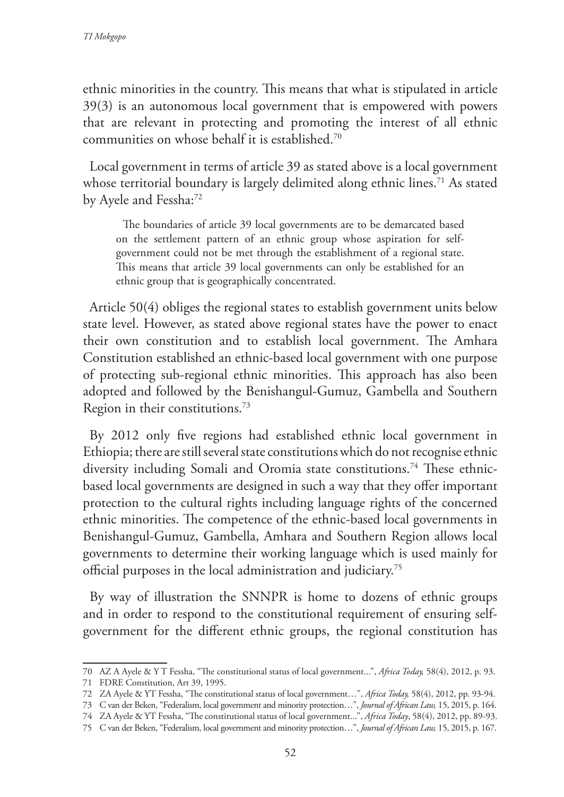ethnic minorities in the country. This means that what is stipulated in article 39(3) is an autonomous local government that is empowered with powers that are relevant in protecting and promoting the interest of all ethnic communities on whose behalf it is established.70

Local government in terms of article 39 as stated above is a local government whose territorial boundary is largely delimited along ethnic lines.<sup>71</sup> As stated by Ayele and Fessha:72

The boundaries of article 39 local governments are to be demarcated based on the settlement pattern of an ethnic group whose aspiration for selfgovernment could not be met through the establishment of a regional state. This means that article 39 local governments can only be established for an ethnic group that is geographically concentrated.

Article 50(4) obliges the regional states to establish government units below state level. However, as stated above regional states have the power to enact their own constitution and to establish local government. The Amhara Constitution established an ethnic-based local government with one purpose of protecting sub-regional ethnic minorities. This approach has also been adopted and followed by the Benishangul-Gumuz, Gambella and Southern Region in their constitutions.73

By 2012 only five regions had established ethnic local government in Ethiopia; there are still several state constitutions which do not recognise ethnic diversity including Somali and Oromia state constitutions.<sup>74</sup> These ethnicbased local governments are designed in such a way that they offer important protection to the cultural rights including language rights of the concerned ethnic minorities. The competence of the ethnic-based local governments in Benishangul-Gumuz, Gambella, Amhara and Southern Region allows local governments to determine their working language which is used mainly for official purposes in the local administration and judiciary.75

By way of illustration the SNNPR is home to dozens of ethnic groups and in order to respond to the constitutional requirement of ensuring selfgovernment for the different ethnic groups, the regional constitution has

<sup>70</sup> AZ A Ayele & Y T Fessha, "The constitutional status of local government...", *Africa Today,* 58(4), 2012, p. 93.

<sup>71</sup> FDRE Constitution, Art 39, 1995.

<sup>72</sup> ZA Ayele & YT Fessha, "The constitutional status of local government…", *Africa Today,* 58(4), 2012, pp. 93-94.

<sup>73</sup> C van der Beken, "Federalism, local government and minority protection…", *Journal of African Law,* 15, 2015, p. 164.

<sup>74</sup> ZA Ayele & YT Fessha, "The constitutional status of local government...", *Africa Today*, 58(4), 2012, pp. 89-93.

<sup>75</sup> C van der Beken, "Federalism, local government and minority protection…", *Journal of African Law,* 15, 2015, p. 167.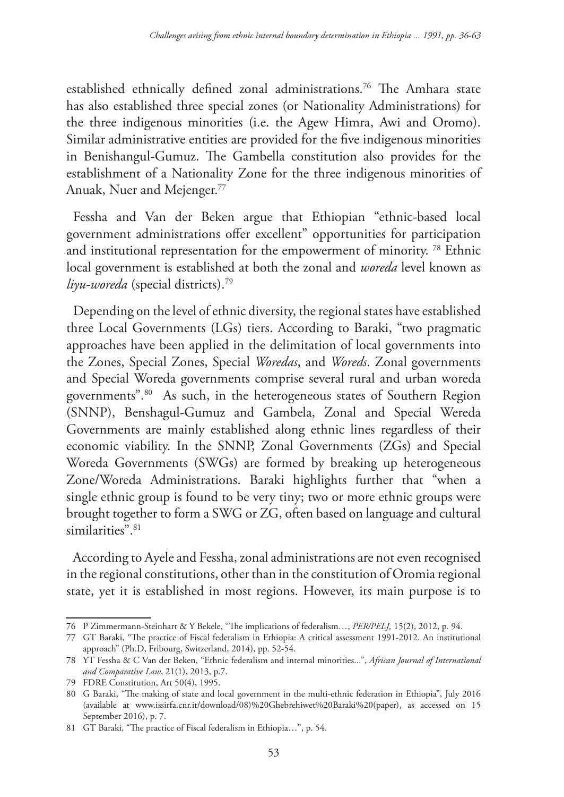established ethnically defined zonal administrations.76 The Amhara state has also established three special zones (or Nationality Administrations) for the three indigenous minorities (i.e. the Agew Himra, Awi and Oromo). Similar administrative entities are provided for the five indigenous minorities in Benishangul-Gumuz. The Gambella constitution also provides for the establishment of a Nationality Zone for the three indigenous minorities of Anuak, Nuer and Mejenger.<sup>77</sup>

Fessha and Van der Beken argue that Ethiopian "ethnic-based local government administrations offer excellent" opportunities for participation and institutional representation for the empowerment of minority. 78 Ethnic local government is established at both the zonal and *woreda* level known as *liyu-woreda* (special districts).79

Depending on the level of ethnic diversity, the regional states have established three Local Governments (LGs) tiers. According to Baraki, "two pragmatic approaches have been applied in the delimitation of local governments into the Zones, Special Zones, Special *Woredas*, and *Woreds*. Zonal governments and Special Woreda governments comprise several rural and urban woreda governments".80 As such, in the heterogeneous states of Southern Region (SNNP), Benshagul-Gumuz and Gambela, Zonal and Special Wereda Governments are mainly established along ethnic lines regardless of their economic viability. In the SNNP, Zonal Governments (ZGs) and Special Woreda Governments (SWGs) are formed by breaking up heterogeneous Zone/Woreda Administrations. Baraki highlights further that "when a single ethnic group is found to be very tiny; two or more ethnic groups were brought together to form a SWG or ZG, often based on language and cultural similarities".<sup>81</sup>

According to Ayele and Fessha, zonal administrations are not even recognised in the regional constitutions, other than in the constitution of Oromia regional state, yet it is established in most regions. However, its main purpose is to

<sup>76</sup> P Zimmermann-Steinhart & Y Bekele, "The implications of federalism…, *PER/PELJ,* 15(2), 2012, p. 94.

<sup>77</sup> GT Baraki, "The practice of Fiscal federalism in Ethiopia: A critical assessment 1991-2012. An institutional approach" (Ph.D, Fribourg, Switzerland, 2014), pp. 52-54.

<sup>78</sup> YT Fessha & C Van der Beken, "Ethnic federalism and internal minorities...", *African Journal of International and Comparative Law*, 21(1), 2013, p.7.

<sup>79</sup> FDRE Constitution, Art 50(4), 1995.

<sup>80</sup> G Baraki, "The making of state and local government in the multi-ethnic federation in Ethiopia", July 2016 (available at www.issirfa.cnr.it/download/08)%20Ghebrehiwet%20Baraki%20(paper), as accessed on 15 September 2016), p. 7.

<sup>81</sup> GT Baraki, "The practice of Fiscal federalism in Ethiopia…", p. 54.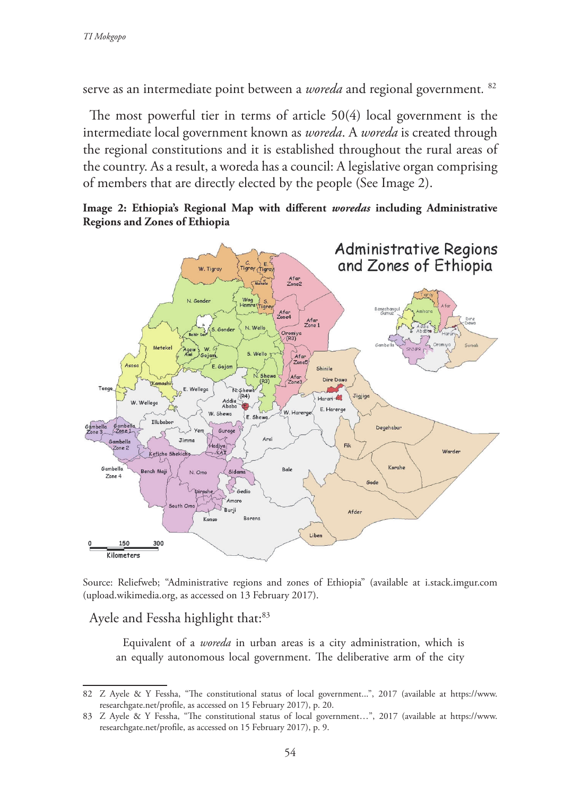serve as an intermediate point between a *woreda* and regional government*.* <sup>82</sup>

The most powerful tier in terms of article 50(4) local government is the intermediate local government known as *woreda*. A *woreda* is created through the regional constitutions and it is established throughout the rural areas of the country. As a result, a woreda has a council: A legislative organ comprising of members that are directly elected by the people (See Image 2).





Source: Reliefweb; "Administrative regions and zones of Ethiopia" (available at i.stack.imgur.com (upload.wikimedia.org, as accessed on 13 February 2017).

Ayele and Fessha highlight that:<sup>83</sup>

Equivalent of a *woreda* in urban areas is a city administration, which is an equally autonomous local government. The deliberative arm of the city

<sup>82</sup> Z Ayele & Y Fessha, "The constitutional status of local government...", 2017 (available at https://www. researchgate.net/profile, as accessed on 15 February 2017), p. 20.

<sup>83</sup> Z Ayele & Y Fessha, "The constitutional status of local government…", 2017 (available at https://www. researchgate.net/profile, as accessed on 15 February 2017), p. 9.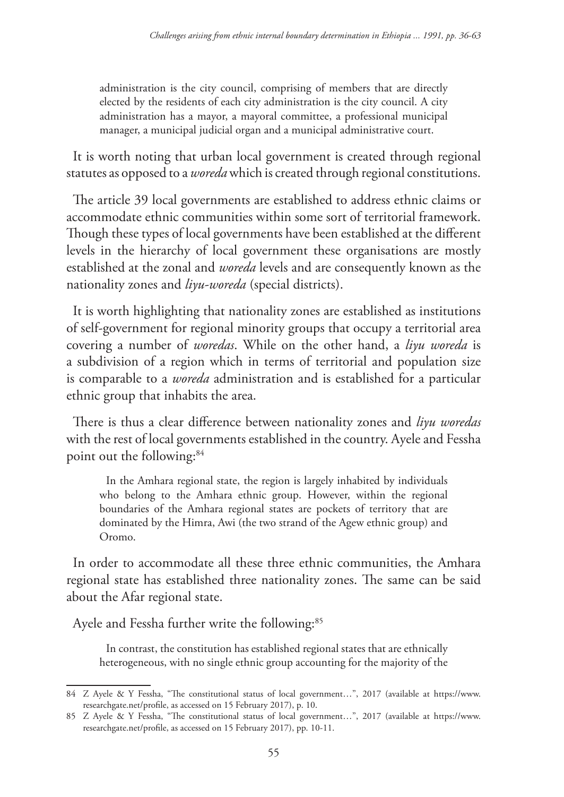administration is the city council, comprising of members that are directly elected by the residents of each city administration is the city council. A city administration has a mayor, a mayoral committee, a professional municipal manager, a municipal judicial organ and a municipal administrative court.

It is worth noting that urban local government is created through regional statutes as opposed to a *woreda* which is created through regional constitutions.

The article 39 local governments are established to address ethnic claims or accommodate ethnic communities within some sort of territorial framework. Though these types of local governments have been established at the different levels in the hierarchy of local government these organisations are mostly established at the zonal and *woreda* levels and are consequently known as the nationality zones and *liyu-woreda* (special districts).

It is worth highlighting that nationality zones are established as institutions of self-government for regional minority groups that occupy a territorial area covering a number of *woredas*. While on the other hand, a *liyu woreda* is a subdivision of a region which in terms of territorial and population size is comparable to a *woreda* administration and is established for a particular ethnic group that inhabits the area.

There is thus a clear difference between nationality zones and *liyu woredas* with the rest of local governments established in the country. Ayele and Fessha point out the following:<sup>84</sup>

In the Amhara regional state, the region is largely inhabited by individuals who belong to the Amhara ethnic group. However, within the regional boundaries of the Amhara regional states are pockets of territory that are dominated by the Himra, Awi (the two strand of the Agew ethnic group) and Oromo.

In order to accommodate all these three ethnic communities, the Amhara regional state has established three nationality zones. The same can be said about the Afar regional state.

Ayele and Fessha further write the following:<sup>85</sup>

In contrast, the constitution has established regional states that are ethnically heterogeneous, with no single ethnic group accounting for the majority of the

<sup>84</sup> Z Ayele & Y Fessha, "The constitutional status of local government…", 2017 (available at https://www. researchgate.net/profile, as accessed on 15 February 2017), p. 10.

<sup>85</sup> Z Ayele & Y Fessha, "The constitutional status of local government…", 2017 (available at https://www. researchgate.net/profile, as accessed on 15 February 2017), pp. 10-11.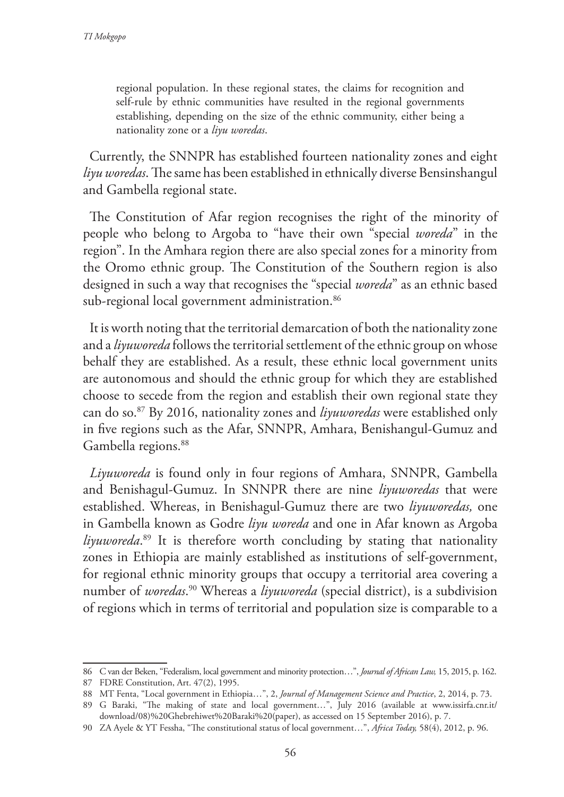regional population. In these regional states, the claims for recognition and self-rule by ethnic communities have resulted in the regional governments establishing, depending on the size of the ethnic community, either being a nationality zone or a *liyu woredas*.

Currently, the SNNPR has established fourteen nationality zones and eight *liyu woredas*. The same has been established in ethnically diverse Bensinshangul and Gambella regional state.

The Constitution of Afar region recognises the right of the minority of people who belong to Argoba to "have their own "special *woreda*" in the region". In the Amhara region there are also special zones for a minority from the Oromo ethnic group. The Constitution of the Southern region is also designed in such a way that recognises the "special *woreda*" as an ethnic based sub-regional local government administration.<sup>86</sup>

It is worth noting that the territorial demarcation of both the nationality zone and a *liyuworeda* follows the territorial settlement of the ethnic group on whose behalf they are established. As a result, these ethnic local government units are autonomous and should the ethnic group for which they are established choose to secede from the region and establish their own regional state they can do so.87 By 2016, nationality zones and *liyuworedas* were established only in five regions such as the Afar, SNNPR, Amhara, Benishangul-Gumuz and Gambella regions.<sup>88</sup>

*Liyuworeda* is found only in four regions of Amhara, SNNPR, Gambella and Benishagul-Gumuz. In SNNPR there are nine *liyuworedas* that were established. Whereas, in Benishagul-Gumuz there are two *liyuworedas,* one in Gambella known as Godre *liyu woreda* and one in Afar known as Argoba *liyuworeda*. 89 It is therefore worth concluding by stating that nationality zones in Ethiopia are mainly established as institutions of self-government, for regional ethnic minority groups that occupy a territorial area covering a number of *woredas*. 90 Whereas a *liyuworeda* (special district), is a subdivision of regions which in terms of territorial and population size is comparable to a

<sup>86</sup> C van der Beken, "Federalism, local government and minority protection…", *Journal of African Law,* 15, 2015, p. 162. 87 FDRE Constitution, Art. 47(2), 1995.

<sup>88</sup> MT Fenta, "Local government in Ethiopia…", 2, *Journal of Management Science and Practice*, 2, 2014, p. 73. 89 G Baraki, "The making of state and local government…", July 2016 (available at www.issirfa.cnr.it/ download/08)%20Ghebrehiwet%20Baraki%20(paper), as accessed on 15 September 2016), p. 7.

<sup>90</sup> ZA Ayele & YT Fessha, "The constitutional status of local government…", *Africa Today,* 58(4), 2012, p. 96.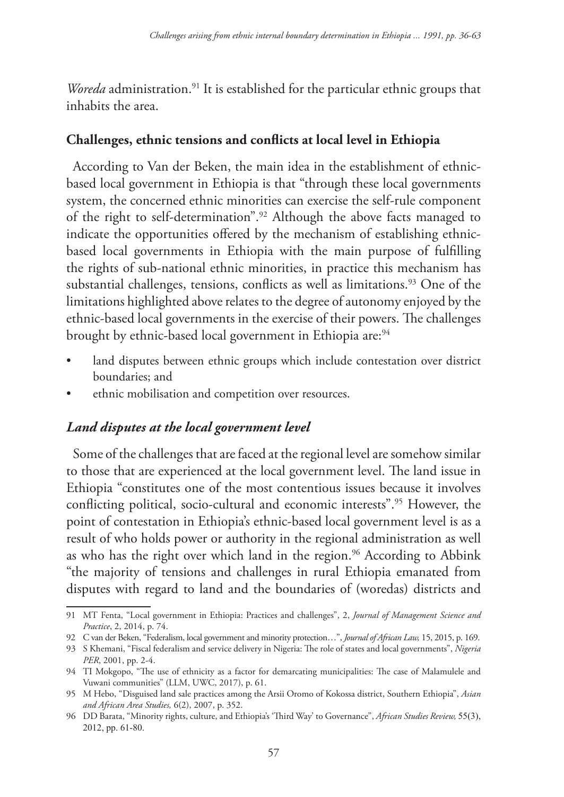*Woreda* administration.<sup>91</sup> It is established for the particular ethnic groups that inhabits the area.

## **Challenges, ethnic tensions and conflicts at local level in Ethiopia**

According to Van der Beken, the main idea in the establishment of ethnicbased local government in Ethiopia is that "through these local governments system, the concerned ethnic minorities can exercise the self-rule component of the right to self-determination".92 Although the above facts managed to indicate the opportunities offered by the mechanism of establishing ethnicbased local governments in Ethiopia with the main purpose of fulfilling the rights of sub-national ethnic minorities, in practice this mechanism has substantial challenges, tensions, conflicts as well as limitations.<sup>93</sup> One of the limitations highlighted above relates to the degree of autonomy enjoyed by the ethnic-based local governments in the exercise of their powers. The challenges brought by ethnic-based local government in Ethiopia are:<sup>94</sup>

- land disputes between ethnic groups which include contestation over district boundaries; and
- ethnic mobilisation and competition over resources.

## *Land disputes at the local government level*

Some of the challenges that are faced at the regional level are somehow similar to those that are experienced at the local government level. The land issue in Ethiopia "constitutes one of the most contentious issues because it involves conflicting political, socio-cultural and economic interests".<sup>95</sup> However, the point of contestation in Ethiopia's ethnic-based local government level is as a result of who holds power or authority in the regional administration as well as who has the right over which land in the region.<sup>96</sup> According to Abbink "the majority of tensions and challenges in rural Ethiopia emanated from disputes with regard to land and the boundaries of (woredas) districts and

<sup>91</sup> MT Fenta, "Local government in Ethiopia: Practices and challenges", 2, *Journal of Management Science and Practice*, 2, 2014, p. 74.

<sup>92</sup> C van der Beken, "Federalism, local government and minority protection…", *Journal of African Law,* 15, 2015, p. 169.

<sup>93</sup> S Khemani, "Fiscal federalism and service delivery in Nigeria: The role of states and local governments", *Nigeria PER*, 2001, pp. 2-4.

<sup>94</sup> TI Mokgopo, "The use of ethnicity as a factor for demarcating municipalities: The case of Malamulele and Vuwani communities" (LLM, UWC, 2017), p. 61.

<sup>95</sup> M Hebo, "Disguised land sale practices among the Arsii Oromo of Kokossa district, Southern Ethiopia", *Asian and African Area Studies,* 6(2), 2007, p. 352.

<sup>96</sup> DD Barata, "Minority rights, culture, and Ethiopia's 'Third Way' to Governance", *African Studies Review,* 55(3), 2012, pp. 61-80.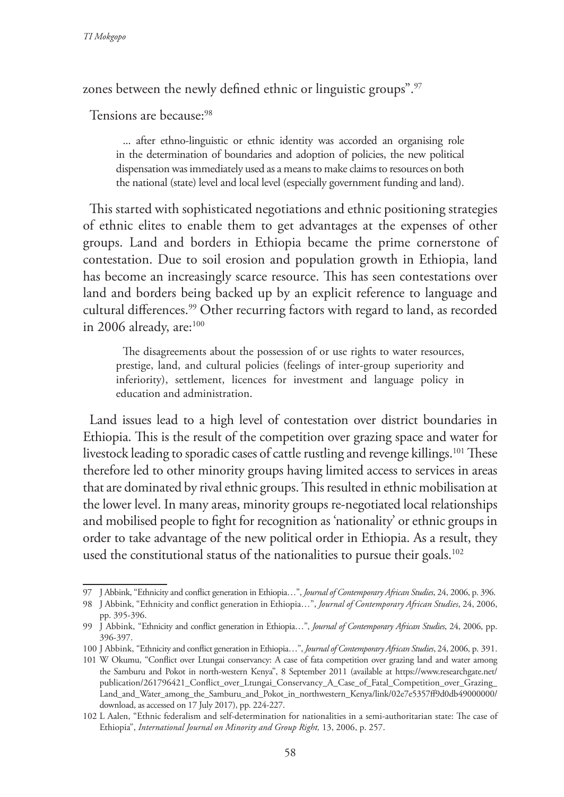zones between the newly defined ethnic or linguistic groups".<sup>97</sup>

Tensions are because:<sup>98</sup>

... after ethno-linguistic or ethnic identity was accorded an organising role in the determination of boundaries and adoption of policies, the new political dispensation was immediately used as a means to make claims to resources on both the national (state) level and local level (especially government funding and land).

This started with sophisticated negotiations and ethnic positioning strategies of ethnic elites to enable them to get advantages at the expenses of other groups. Land and borders in Ethiopia became the prime cornerstone of contestation. Due to soil erosion and population growth in Ethiopia, land has become an increasingly scarce resource. This has seen contestations over land and borders being backed up by an explicit reference to language and cultural differences.<sup>99</sup> Other recurring factors with regard to land, as recorded in 2006 already, are: $100$ 

The disagreements about the possession of or use rights to water resources, prestige, land, and cultural policies (feelings of inter-group superiority and inferiority), settlement, licences for investment and language policy in education and administration.

Land issues lead to a high level of contestation over district boundaries in Ethiopia. This is the result of the competition over grazing space and water for livestock leading to sporadic cases of cattle rustling and revenge killings.<sup>101</sup> These therefore led to other minority groups having limited access to services in areas that are dominated by rival ethnic groups. This resulted in ethnic mobilisation at the lower level. In many areas, minority groups re-negotiated local relationships and mobilised people to fight for recognition as 'nationality' or ethnic groups in order to take advantage of the new political order in Ethiopia. As a result, they used the constitutional status of the nationalities to pursue their goals.<sup>102</sup>

<sup>97</sup> J Abbink, "Ethnicity and conflict generation in Ethiopia…", *Journal of Contemporary African Studies*, 24, 2006, p. 396.

<sup>98</sup> J Abbink, "Ethnicity and conflict generation in Ethiopia…", *Journal of Contemporary African Studies*, 24, 2006, pp. 395-396.

<sup>99</sup> J Abbink, "Ethnicity and conflict generation in Ethiopia…", *Journal of Contemporary African Studies*, 24, 2006, pp. 396-397.

<sup>100</sup> J Abbink, "Ethnicity and conflict generation in Ethiopia…", *Journal of Contemporary African Studies*, 24, 2006, p. 391.

<sup>101</sup> W Okumu, "Conflict over Ltungai conservancy: A case of fata competition over grazing land and water among the Samburu and Pokot in north-western Kenya", 8 September 2011 (available at https://www.researchgate.net/ publication/261796421\_Conflict\_over\_Ltungai\_Conservancy\_A\_Case\_of\_Fatal\_Competition\_over\_Grazing\_ Land\_and\_Water\_among\_the\_Samburu\_and\_Pokot\_in\_northwestern\_Kenya/link/02e7e5357ff9d0db49000000/ download, as accessed on 17 July 2017), pp. 224-227.

<sup>102</sup> L Aalen, "Ethnic federalism and self-determination for nationalities in a semi-authoritarian state: The case of Ethiopia", *International Journal on Minority and Group Right,* 13, 2006, p. 257.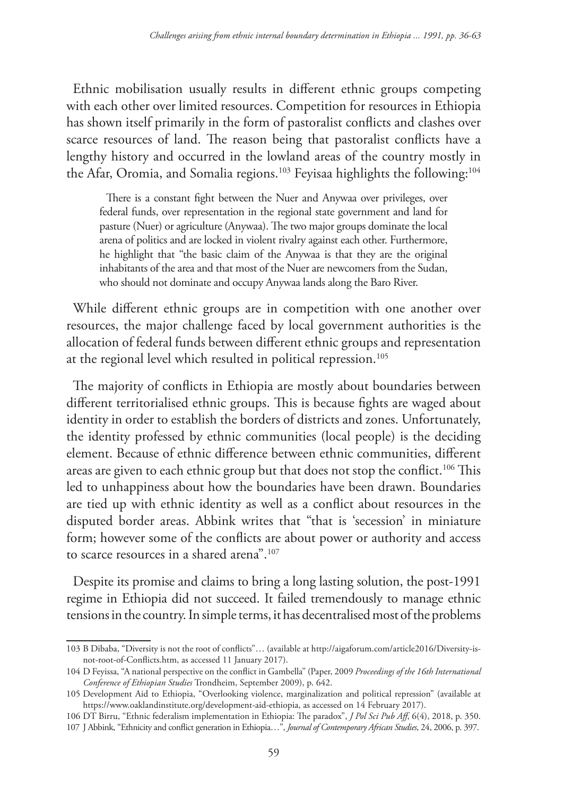Ethnic mobilisation usually results in different ethnic groups competing with each other over limited resources. Competition for resources in Ethiopia has shown itself primarily in the form of pastoralist conflicts and clashes over scarce resources of land. The reason being that pastoralist conflicts have a lengthy history and occurred in the lowland areas of the country mostly in the Afar, Oromia, and Somalia regions.<sup>103</sup> Feyisaa highlights the following:<sup>104</sup>

There is a constant fight between the Nuer and Anywaa over privileges, over federal funds, over representation in the regional state government and land for pasture (Nuer) or agriculture (Anywaa). The two major groups dominate the local arena of politics and are locked in violent rivalry against each other. Furthermore, he highlight that "the basic claim of the Anywaa is that they are the original inhabitants of the area and that most of the Nuer are newcomers from the Sudan, who should not dominate and occupy Anywaa lands along the Baro River.

While different ethnic groups are in competition with one another over resources, the major challenge faced by local government authorities is the allocation of federal funds between different ethnic groups and representation at the regional level which resulted in political repression.105

The majority of conflicts in Ethiopia are mostly about boundaries between different territorialised ethnic groups. This is because fights are waged about identity in order to establish the borders of districts and zones. Unfortunately, the identity professed by ethnic communities (local people) is the deciding element. Because of ethnic difference between ethnic communities, different areas are given to each ethnic group but that does not stop the conflict.<sup>106</sup> This led to unhappiness about how the boundaries have been drawn. Boundaries are tied up with ethnic identity as well as a conflict about resources in the disputed border areas. Abbink writes that "that is 'secession' in miniature form; however some of the conflicts are about power or authority and access to scarce resources in a shared arena".107

Despite its promise and claims to bring a long lasting solution, the post-1991 regime in Ethiopia did not succeed. It failed tremendously to manage ethnic tensions in the country. In simple terms, it has decentralised most of the problems

<sup>103</sup> B Dibaba, "Diversity is not the root of conflicts"… (available at http://aigaforum.com/article2016/Diversity-isnot-root-of-Conflicts.htm, as accessed 11 January 2017).

<sup>104</sup> D Feyissa, "A national perspective on the conflict in Gambella" (Paper, 2009 *Proceedings of the 16th International Conference of Ethiopian Studies* Trondheim, September 2009), p. 642.

<sup>105</sup> Development Aid to Ethiopia, "Overlooking violence, marginalization and political repression" (available at https://www.oaklandinstitute.org/development-aid-ethiopia, as accessed on 14 February 2017).

<sup>106</sup> DT Birru, "Ethnic federalism implementation in Ethiopia: The paradox", *J Pol Sci Pub Aff*, 6(4), 2018, p. 350. 107 J Abbink, "Ethnicity and conflict generation in Ethiopia…", *Journal of Contemporary African Studies*, 24, 2006, p. 397.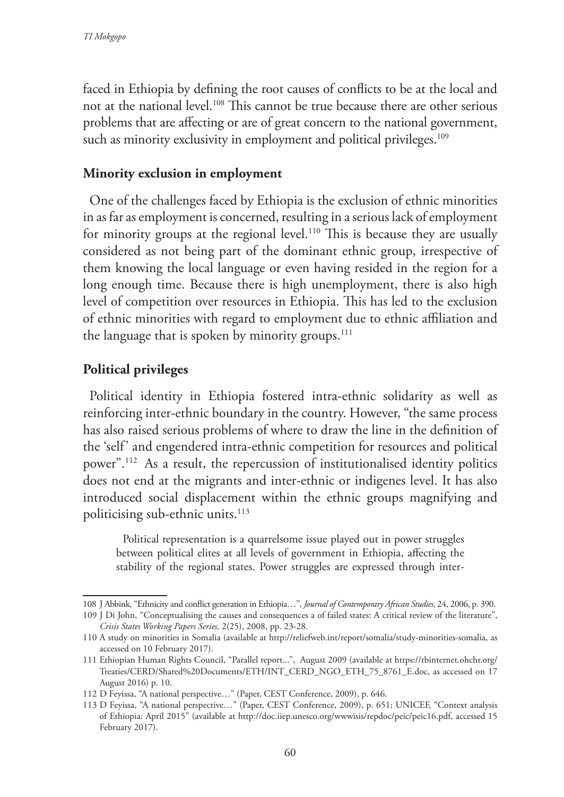faced in Ethiopia by defining the root causes of conflicts to be at the local and not at the national level.108 This cannot be true because there are other serious problems that are affecting or are of great concern to the national government, such as minority exclusivity in employment and political privileges.<sup>109</sup>

## **Minority exclusion in employment**

One of the challenges faced by Ethiopia is the exclusion of ethnic minorities in as far as employment is concerned, resulting in a serious lack of employment for minority groups at the regional level.<sup>110</sup> This is because they are usually considered as not being part of the dominant ethnic group, irrespective of them knowing the local language or even having resided in the region for a long enough time. Because there is high unemployment, there is also high level of competition over resources in Ethiopia. This has led to the exclusion of ethnic minorities with regard to employment due to ethnic affiliation and the language that is spoken by minority groups. $111$ 

## **Political privileges**

Political identity in Ethiopia fostered intra-ethnic solidarity as well as reinforcing inter-ethnic boundary in the country. However, "the same process has also raised serious problems of where to draw the line in the definition of the 'self' and engendered intra-ethnic competition for resources and political power".112 As a result, the repercussion of institutionalised identity politics does not end at the migrants and inter-ethnic or indigenes level. It has also introduced social displacement within the ethnic groups magnifying and politicising sub-ethnic units.<sup>113</sup>

Political representation is a quarrelsome issue played out in power struggles between political elites at all levels of government in Ethiopia, affecting the stability of the regional states. Power struggles are expressed through inter-

<sup>108</sup> J Abbink, "Ethnicity and conflict generation in Ethiopia…", *Journal of Contemporary African Studies*, 24, 2006, p. 390.

<sup>109</sup> J Di John, "Conceptualising the causes and consequences a of failed states: A critical review of the literature", *Crisis States Working Papers Series,* 2(25), 2008, pp. 23-28.

<sup>110</sup> A study on minorities in Somalia (available at http://reliefweb.int/report/somalia/study-minorities-somalia, as accessed on 10 February 2017).

<sup>111</sup> Ethiopian Human Rights Council, "Parallel report...", August 2009 (available at https://tbinternet.ohchr.org/ Treaties/CERD/Shared%20Documents/ETH/INT\_CERD\_NGO\_ETH\_75\_8761\_E.doc, as accessed on 17 August 2016) p. 10.

<sup>112</sup> D Feyissa, "A national perspective…" (Paper, CEST Conference, 2009), p. 646.

<sup>113</sup> D Feyissa, "A national perspective…" (Paper, CEST Conference, 2009), p. 651; UNICEF, "Context analysis of Ethiopia: April 2015" (available at http://doc.iiep.unesco.org/wwwisis/repdoc/peic/peic16.pdf, accessed 15 February 2017).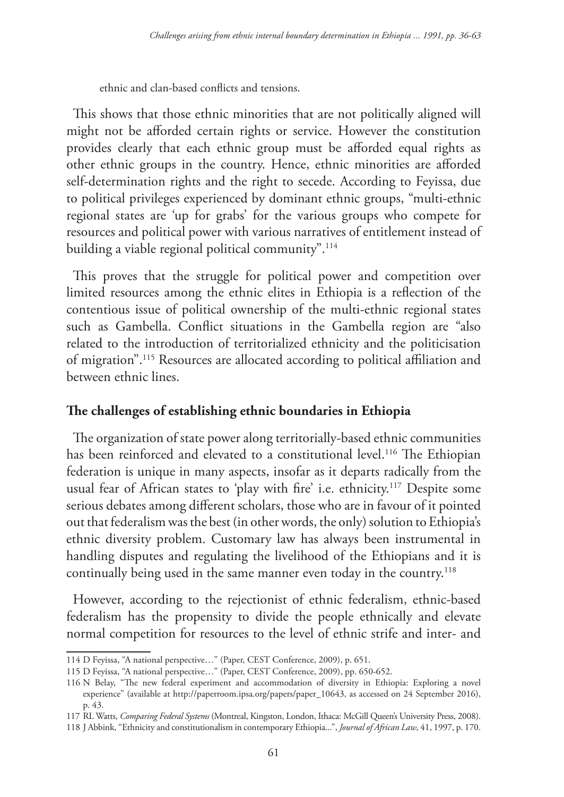ethnic and clan-based conflicts and tensions.

This shows that those ethnic minorities that are not politically aligned will might not be afforded certain rights or service. However the constitution provides clearly that each ethnic group must be afforded equal rights as other ethnic groups in the country. Hence, ethnic minorities are afforded self-determination rights and the right to secede. According to Feyissa, due to political privileges experienced by dominant ethnic groups, "multi-ethnic regional states are 'up for grabs' for the various groups who compete for resources and political power with various narratives of entitlement instead of building a viable regional political community".<sup>114</sup>

This proves that the struggle for political power and competition over limited resources among the ethnic elites in Ethiopia is a reflection of the contentious issue of political ownership of the multi-ethnic regional states such as Gambella. Conflict situations in the Gambella region are "also related to the introduction of territorialized ethnicity and the politicisation of migration".115 Resources are allocated according to political affiliation and between ethnic lines.

### **The challenges of establishing ethnic boundaries in Ethiopia**

The organization of state power along territorially-based ethnic communities has been reinforced and elevated to a constitutional level.<sup>116</sup> The Ethiopian federation is unique in many aspects, insofar as it departs radically from the usual fear of African states to 'play with fire' i.e. ethnicity.117 Despite some serious debates among different scholars, those who are in favour of it pointed out that federalism was the best (in other words, the only) solution to Ethiopia's ethnic diversity problem. Customary law has always been instrumental in handling disputes and regulating the livelihood of the Ethiopians and it is continually being used in the same manner even today in the country.<sup>118</sup>

However, according to the rejectionist of ethnic federalism, ethnic-based federalism has the propensity to divide the people ethnically and elevate normal competition for resources to the level of ethnic strife and inter- and

<sup>114</sup> D Feyissa, "A national perspective…" (Paper, CEST Conference, 2009), p. 651.

<sup>115</sup> D Feyissa, "A national perspective…" (Paper, CEST Conference, 2009), pp. 650-652.

<sup>116</sup> N Belay, "The new federal experiment and accommodation of diversity in Ethiopia: Exploring a novel experience" (available at http://paperroom.ipsa.org/papers/paper\_10643, as accessed on 24 September 2016), p. 43.

<sup>117</sup> RL Watts, *Comparing Federal Systems* (Montreal, Kingston, London, Ithaca: McGill Queen's University Press, 2008).

<sup>118</sup> J Abbink, "Ethnicity and constitutionalism in contemporary Ethiopia...", *Journal of African Law*, 41, 1997, p. 170.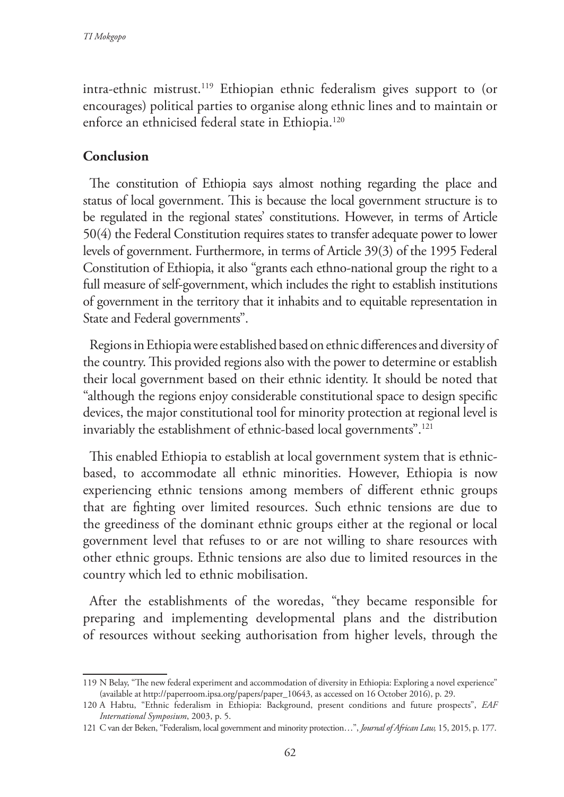intra-ethnic mistrust.<sup>119</sup> Ethiopian ethnic federalism gives support to (or encourages) political parties to organise along ethnic lines and to maintain or enforce an ethnicised federal state in Ethiopia.<sup>120</sup>

## **Conclusion**

The constitution of Ethiopia says almost nothing regarding the place and status of local government. This is because the local government structure is to be regulated in the regional states' constitutions. However, in terms of Article 50(4) the Federal Constitution requires states to transfer adequate power to lower levels of government. Furthermore, in terms of Article 39(3) of the 1995 Federal Constitution of Ethiopia, it also "grants each ethno-national group the right to a full measure of self-government, which includes the right to establish institutions of government in the territory that it inhabits and to equitable representation in State and Federal governments".

Regions in Ethiopia were established based on ethnic differences and diversity of the country. This provided regions also with the power to determine or establish their local government based on their ethnic identity. It should be noted that "although the regions enjoy considerable constitutional space to design specific devices, the major constitutional tool for minority protection at regional level is invariably the establishment of ethnic-based local governments".<sup>121</sup>

This enabled Ethiopia to establish at local government system that is ethnicbased, to accommodate all ethnic minorities. However, Ethiopia is now experiencing ethnic tensions among members of different ethnic groups that are fighting over limited resources. Such ethnic tensions are due to the greediness of the dominant ethnic groups either at the regional or local government level that refuses to or are not willing to share resources with other ethnic groups. Ethnic tensions are also due to limited resources in the country which led to ethnic mobilisation.

After the establishments of the woredas, "they became responsible for preparing and implementing developmental plans and the distribution of resources without seeking authorisation from higher levels, through the

<sup>119</sup> N Belay, "The new federal experiment and accommodation of diversity in Ethiopia: Exploring a novel experience" (available at http://paperroom.ipsa.org/papers/paper\_10643, as accessed on 16 October 2016), p. 29.

<sup>120</sup> A Habtu, "Ethnic federalism in Ethiopia: Background, present conditions and future prospects", *EAF International Symposium*, 2003, p. 5.

<sup>121</sup> C van der Beken, "Federalism, local government and minority protection…", *Journal of African Law,* 15, 2015, p. 177.